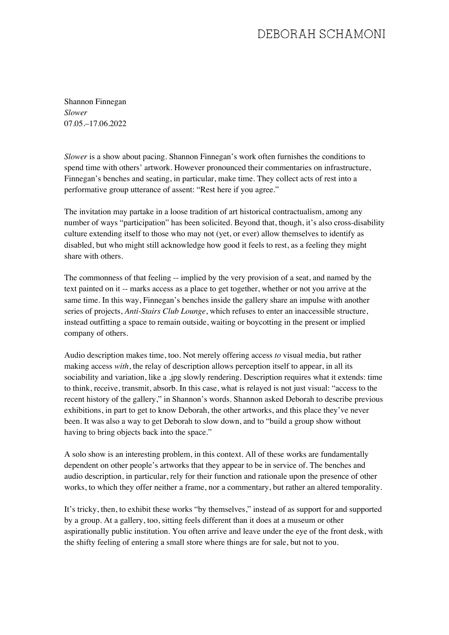## DEBORAH SCHAMONI

Shannon Finnegan *Slower* 07.05.–17.06.2022

*Slower* is a show about pacing. Shannon Finnegan's work often furnishes the conditions to spend time with others' artwork. However pronounced their commentaries on infrastructure, Finnegan's benches and seating, in particular, make time. They collect acts of rest into a performative group utterance of assent: "Rest here if you agree."

The invitation may partake in a loose tradition of art historical contractualism, among any number of ways "participation" has been solicited. Beyond that, though, it's also cross-disability culture extending itself to those who may not (yet, or ever) allow themselves to identify as disabled, but who might still acknowledge how good it feels to rest, as a feeling they might share with others.

The commonness of that feeling -- implied by the very provision of a seat, and named by the text painted on it -- marks access as a place to get together, whether or not you arrive at the same time. In this way, Finnegan's benches inside the gallery share an impulse with another series of projects, *Anti-Stairs Club Lounge*, which refuses to enter an inaccessible structure, instead outfitting a space to remain outside, waiting or boycotting in the present or implied company of others.

Audio description makes time, too. Not merely offering access *to* visual media, but rather making access *with*, the relay of description allows perception itself to appear, in all its sociability and variation, like a .jpg slowly rendering. Description requires what it extends: time to think, receive, transmit, absorb. In this case, what is relayed is not just visual: "access to the recent history of the gallery," in Shannon's words. Shannon asked Deborah to describe previous exhibitions, in part to get to know Deborah, the other artworks, and this place they've never been. It was also a way to get Deborah to slow down, and to "build a group show without having to bring objects back into the space."

A solo show is an interesting problem, in this context. All of these works are fundamentally dependent on other people's artworks that they appear to be in service of. The benches and audio description, in particular, rely for their function and rationale upon the presence of other works, to which they offer neither a frame, nor a commentary, but rather an altered temporality.

It's tricky, then, to exhibit these works "by themselves," instead of as support for and supported by a group. At a gallery, too, sitting feels different than it does at a museum or other aspirationally public institution. You often arrive and leave under the eye of the front desk, with the shifty feeling of entering a small store where things are for sale, but not to you.